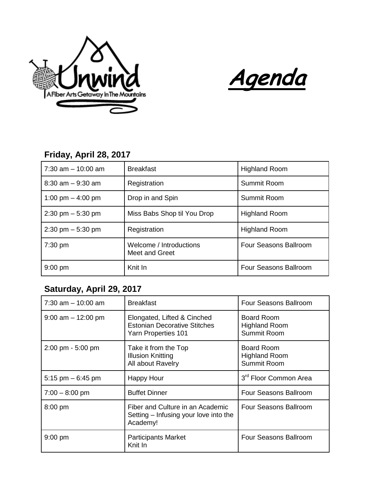



## **Friday, April 28, 2017**

| $7:30$ am $-10:00$ am               | <b>Breakfast</b>                          | <b>Highland Room</b>  |
|-------------------------------------|-------------------------------------------|-----------------------|
| $8:30$ am $-9:30$ am                | Registration                              | Summit Room           |
| 1:00 pm $-$ 4:00 pm                 | Drop in and Spin                          | Summit Room           |
| $2:30 \text{ pm} - 5:30 \text{ pm}$ | Miss Babs Shop til You Drop               | <b>Highland Room</b>  |
| $2:30 \text{ pm} - 5:30 \text{ pm}$ | Registration                              | <b>Highland Room</b>  |
| $7:30$ pm                           | Welcome / Introductions<br>Meet and Greet | Four Seasons Ballroom |
| $9:00$ pm                           | Knit In                                   | Four Seasons Ballroom |

## **Saturday, April 29, 2017**

| $7:30$ am $-10:00$ am               | <b>Breakfast</b>                                                                          | Four Seasons Ballroom                                    |
|-------------------------------------|-------------------------------------------------------------------------------------------|----------------------------------------------------------|
| $9:00$ am $-12:00$ pm               | Elongated, Lifted & Cinched<br><b>Estonian Decorative Stitches</b><br>Yarn Properties 101 | <b>Board Room</b><br><b>Highland Room</b><br>Summit Room |
| $2:00 \text{ pm} - 5:00 \text{ pm}$ | Take it from the Top<br><b>Illusion Knitting</b><br>All about Ravelry                     | <b>Board Room</b><br><b>Highland Room</b><br>Summit Room |
| 5:15 pm $-6:45$ pm                  | <b>Happy Hour</b>                                                                         | 3 <sup>rd</sup> Floor Common Area                        |
| $7:00 - 8:00$ pm                    | <b>Buffet Dinner</b>                                                                      | <b>Four Seasons Ballroom</b>                             |
| $8:00$ pm                           | Fiber and Culture in an Academic<br>Setting – Infusing your love into the<br>Academy!     | Four Seasons Ballroom                                    |
| $9:00$ pm                           | <b>Participants Market</b><br>Knit In                                                     | Four Seasons Ballroom                                    |